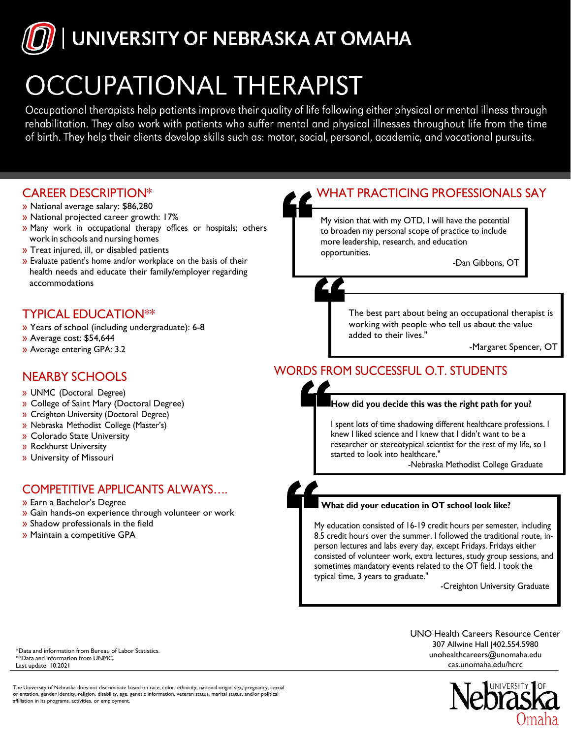## UNIVERSITY OF NEBRASKA AT OMAHA

## **OCCUPATIONAL THERAPIST**

Occupational therapists help patients improve their quality of life following either physical or mental illness through rehabilitation. They also work with patients who suffer mental and physical illnesses throughout life from the time of birth. They help their clients develop skills such as: motor, social, personal, academic, and vocational pursuits.